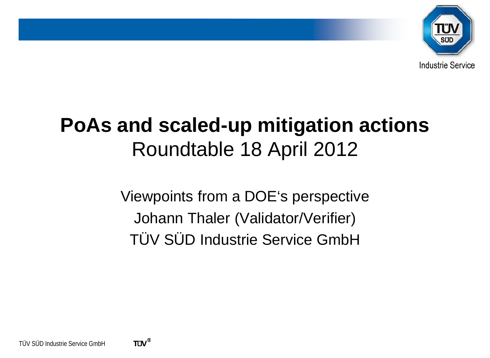

# **PoAs and scaled-up mitigation actions** Roundtable 18 April 2012

Viewpoints from a DOE's perspective Johann Thaler (Validator/Verifier) TÜV SÜD Industrie Service GmbH

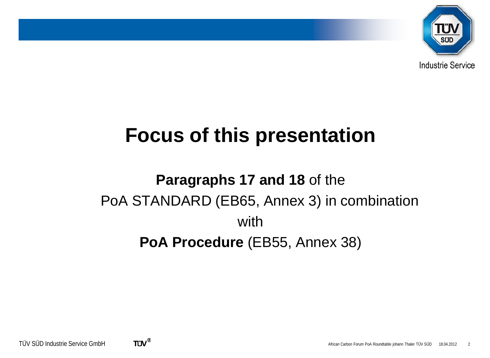

## **Focus of this presentation**

## **Paragraphs 17 and 18** of the PoA STANDARD (EB65, Annex 3) in combination with **PoA Procedure** (EB55, Annex 38)

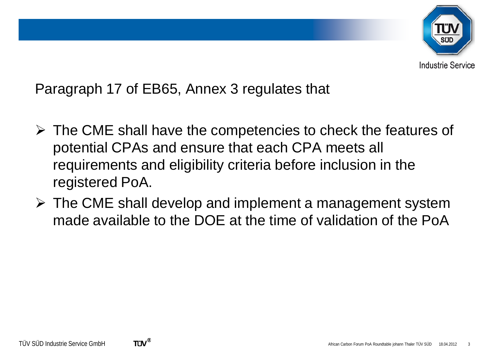

Paragraph 17 of EB65, Annex 3 regulates that

- $\triangleright$  The CME shall have the competencies to check the features of potential CPAs and ensure that each CPA meets all requirements and eligibility criteria before inclusion in the registered PoA.
- $\triangleright$  The CME shall develop and implement a management system made available to the DOE at the time of validation of the PoA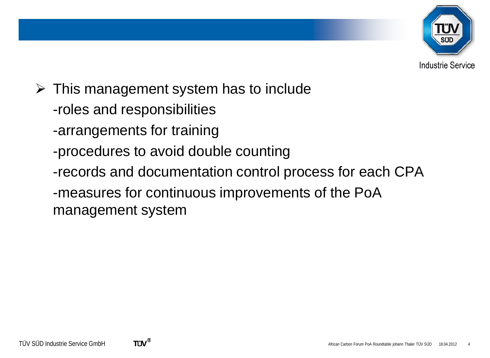

- $\triangleright$  This management system has to include
	- -roles and responsibilities
	- -arrangements for training
	- -procedures to avoid double counting
	- -records and documentation control process for each CPA
	- -measures for continuous improvements of the PoA management system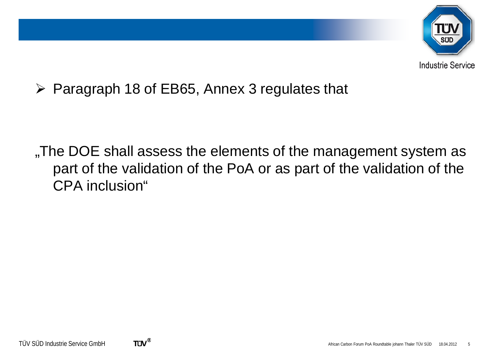

 $\triangleright$  Paragraph 18 of EB65, Annex 3 regulates that

The DOE shall assess the elements of the management system as part of the validation of the PoA or as part of the validation of the CPA inclusion"

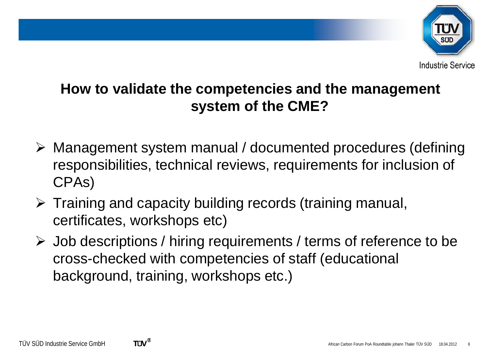

#### **Industrie Service**

#### **How to validate the competencies and the management system of the CME?**

- Management system manual / documented procedures (defining responsibilities, technical reviews, requirements for inclusion of CPAs)
- $\triangleright$  Training and capacity building records (training manual, certificates, workshops etc)
- Job descriptions / hiring requirements / terms of reference to be cross-checked with competencies of staff (educational background, training, workshops etc.)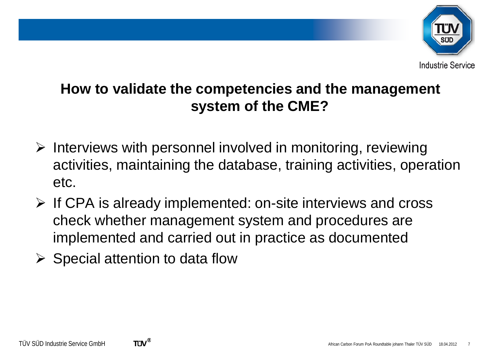

#### **How to validate the competencies and the management system of the CME?**

- $\triangleright$  Interviews with personnel involved in monitoring, reviewing activities, maintaining the database, training activities, operation etc.
- $\triangleright$  If CPA is already implemented: on-site interviews and cross check whether management system and procedures are implemented and carried out in practice as documented
- $\triangleright$  Special attention to data flow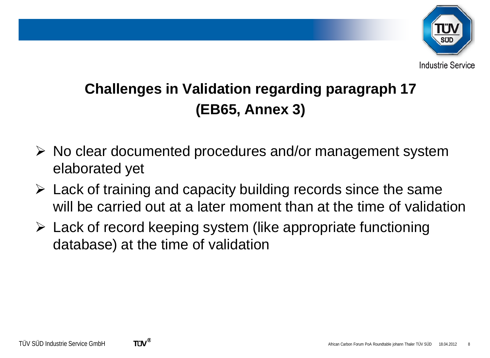

## **Challenges in Validation regarding paragraph 17 (EB65, Annex 3)**

- $\triangleright$  No clear documented procedures and/or management system elaborated yet
- $\triangleright$  Lack of training and capacity building records since the same will be carried out at a later moment than at the time of validation
- $\triangleright$  Lack of record keeping system (like appropriate functioning database) at the time of validation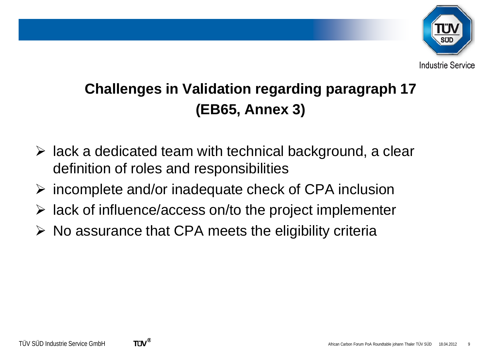

### **Challenges in Validation regarding paragraph 17 (EB65, Annex 3)**

- $\triangleright$  lack a dedicated team with technical background, a clear definition of roles and responsibilities
- $\triangleright$  incomplete and/or inadequate check of CPA inclusion
- $\triangleright$  lack of influence/access on/to the project implementer
- $\triangleright$  No assurance that CPA meets the eligibility criteria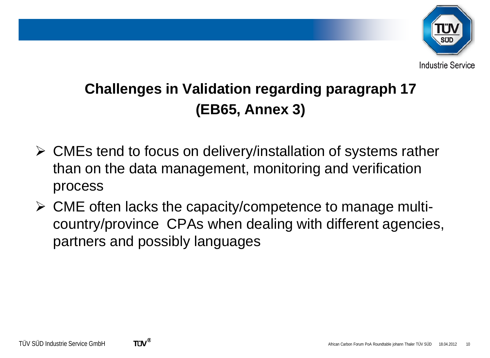

## **Challenges in Validation regarding paragraph 17 (EB65, Annex 3)**

- CMEs tend to focus on delivery/installation of systems rather than on the data management, monitoring and verification process
- $\triangleright$  CME often lacks the capacity/competence to manage multicountry/province CPAs when dealing with different agencies, partners and possibly languages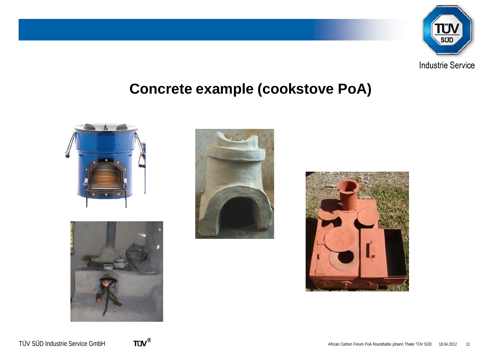

#### **Concrete example (cookstove PoA)**









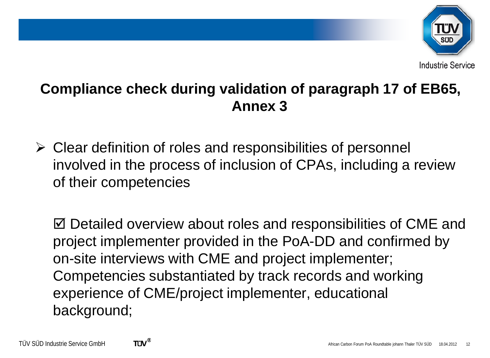

 $\triangleright$  Clear definition of roles and responsibilities of personnel involved in the process of inclusion of CPAs, including a review of their competencies

 $\boxtimes$  Detailed overview about roles and responsibilities of CME and project implementer provided in the PoA-DD and confirmed by on-site interviews with CME and project implementer; Competencies substantiated by track records and working experience of CME/project implementer, educational background;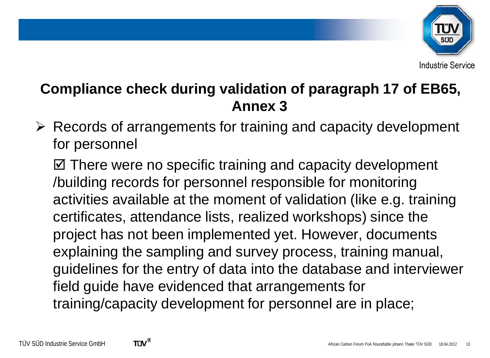

#### **Annex 3**

 $\triangleright$  Records of arrangements for training and capacity development for personnel

 $\boxtimes$  **There were no specific training and capacity development** /building records for personnel responsible for monitoring activities available at the moment of validation (like e.g. training certificates, attendance lists, realized workshops) since the project has not been implemented yet. However, documents explaining the sampling and survey process, training manual, guidelines for the entry of data into the database and interviewer field guide have evidenced that arrangements for training/capacity development for personnel are in place;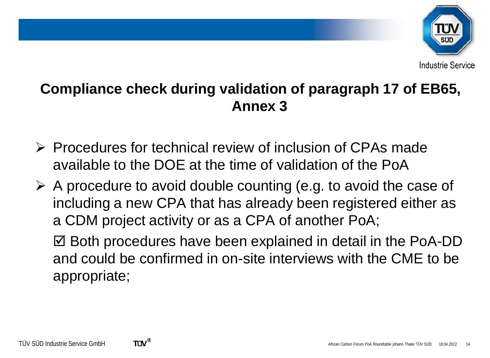

- $\triangleright$  Procedures for technical review of inclusion of CPAs made available to the DOE at the time of validation of the PoA
- $\triangleright$  A procedure to avoid double counting (e.g. to avoid the case of including a new CPA that has already been registered either as a CDM project activity or as a CPA of another PoA;

⊠ Both procedures have been explained in detail in the PoA-DD and could be confirmed in on-site interviews with the CME to be appropriate;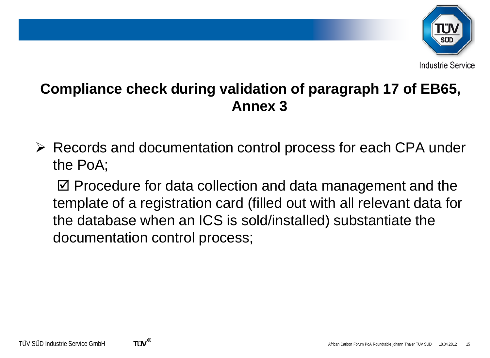

 Records and documentation control process for each CPA under the PoA;

 $\boxtimes$  Procedure for data collection and data management and the template of a registration card (filled out with all relevant data for the database when an ICS is sold/installed) substantiate the documentation control process;

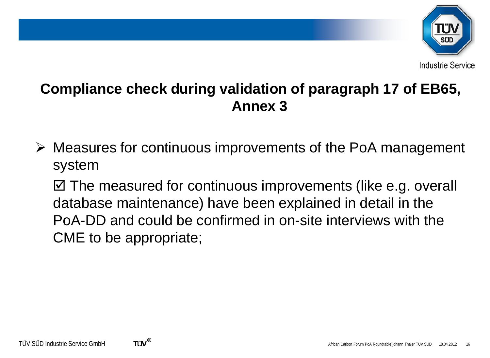

 Measures for continuous improvements of the PoA management system

⊠ The measured for continuous improvements (like e.g. overall database maintenance) have been explained in detail in the PoA-DD and could be confirmed in on-site interviews with the CME to be appropriate;